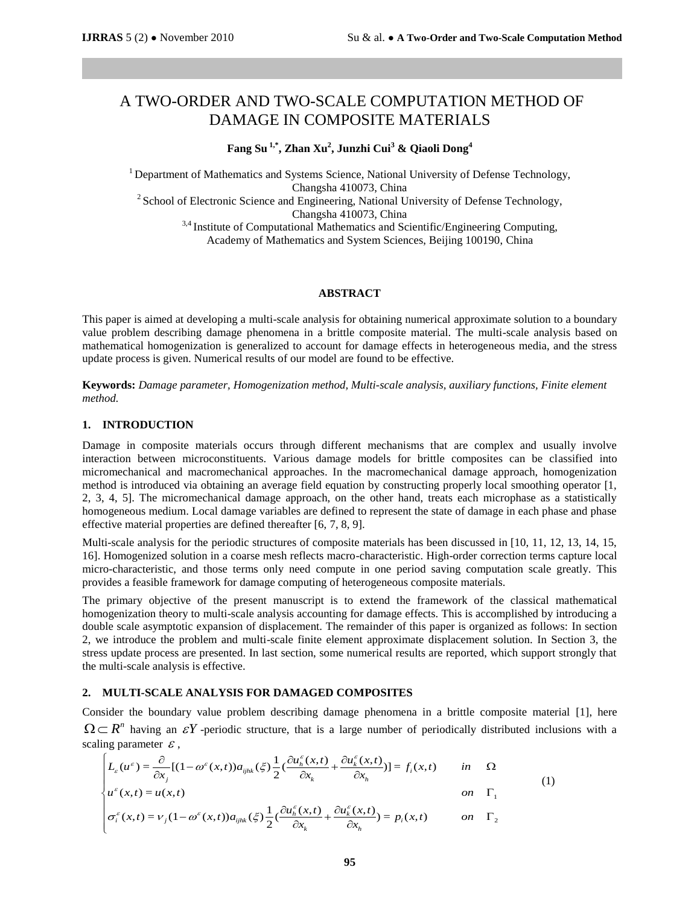# A TWO-ORDER AND TWO-SCALE COMPUTATION METHOD OF DAMAGE IN COMPOSITE MATERIALS

# **Fang Su 1,\* , Zhan Xu<sup>2</sup> , Junzhi Cui<sup>3</sup> & Qiaoli Dong<sup>4</sup>**

<sup>1</sup> Department of Mathematics and Systems Science, National University of Defense Technology, Changsha 410073, China

<sup>2</sup> School of Electronic Science and Engineering, National University of Defense Technology, Changsha 410073, China

<sup>3,4</sup> Institute of Computational Mathematics and Scientific/Engineering Computing, Academy of Mathematics and System Sciences, Beijing 100190, China

#### **ABSTRACT**

This paper is aimed at developing a multi-scale analysis for obtaining numerical approximate solution to a boundary value problem describing damage phenomena in a brittle composite material. The multi-scale analysis based on mathematical homogenization is generalized to account for damage effects in heterogeneous media, and the stress update process is given. Numerical results of our model are found to be effective.

**Keywords:** *Damage parameter, Homogenization method, Multi-scale analysis, auxiliary functions, Finite element method.*

## **1. INTRODUCTION**

Damage in composite materials occurs through different mechanisms that are complex and usually involve interaction between microconstituents. Various damage models for brittle composites can be classified into micromechanical and macromechanical approaches. In the macromechanical damage approach, homogenization method is introduced via obtaining an average field equation by constructing properly local smoothing operator [1, 2, 3, 4, 5]. The micromechanical damage approach, on the other hand, treats each microphase as a statistically homogeneous medium. Local damage variables are defined to represent the state of damage in each phase and phase effective material properties are defined thereafter [6, 7, 8, 9].

Multi-scale analysis for the periodic structures of composite materials has been discussed in [10, 11, 12, 13, 14, 15, 16]. Homogenized solution in a coarse mesh reflects macro-characteristic. High-order correction terms capture local micro-characteristic, and those terms only need compute in one period saving computation scale greatly. This provides a feasible framework for damage computing of heterogeneous composite materials.

The primary objective of the present manuscript is to extend the framework of the classical mathematical homogenization theory to multi-scale analysis accounting for damage effects. This is accomplished by introducing a double scale asymptotic expansion of displacement. The remainder of this paper is organized as follows: In section 2, we introduce the problem and multi-scale finite element approximate displacement solution. In Section 3, the stress update process are presented. In last section, some numerical results are reported, which support strongly that the multi-scale analysis is effective.

#### **2. MULTI-SCALE ANALYSIS FOR DAMAGED COMPOSITES**

Consider the boundary value problem describing damage phenomena in a brittle composite material [1], here  $\Omega \subset R^n$  having an  $\mathcal{E}Y$ -periodic structure, that is a large number of periodically distributed inclusions with a der the boundary value problem describing damage phenomena in a brittle  $R^n$  having an  $\mathcal{E}Y$ -periodic structure, that is a large number of periodicall g parameter  $\mathcal{E}$ ,<br>  $L_{\varepsilon}(u^{\varepsilon}) = \frac{\partial}{\partial x_j} [(1 - \omega^{\varepsilon}(x, t)) a_{$ sider the boundary value problem describing damage phenomena in a brittle composite mate<br>  $\begin{aligned}\n&= R^n \text{ having an } \varepsilon Y \text{ -periodic structure, that is a large number of periodically distributed incl-  
\ning parameter  $\varepsilon$ ,<br>  $\left[ L_{\varepsilon}(u^{\varepsilon}) = \frac{\partial}{\partial x_j} [(1 - \omega^{\varepsilon}(x, t)) a_{ijk}(\xi) \frac{1}{2} (\frac{\partial u^{\varepsilon}_h(x, t)}{\$$ 

scaling parameter 
$$
\varepsilon
$$
,  
\n
$$
\begin{cases}\nL_{\varepsilon}(u^{\varepsilon}) = \frac{\partial}{\partial x_j} [(1 - \omega^{\varepsilon}(x, t)) a_{ijhk}(\xi) \frac{1}{2} (\frac{\partial u_h^{\varepsilon}(x, t)}{\partial x_k} + \frac{\partial u_h^{\varepsilon}(x, t)}{\partial x_h})] = f_i(x, t) & \text{in} \quad \Omega \\
u^{\varepsilon}(x, t) = u(x, t) & \text{on} \quad \Gamma_1 \\
\sigma_i^{\varepsilon}(x, t) = v_j(1 - \omega^{\varepsilon}(x, t)) a_{ijhk}(\xi) \frac{1}{2} (\frac{\partial u_h^{\varepsilon}(x, t)}{\partial x_k} + \frac{\partial u_h^{\varepsilon}(x, t)}{\partial x_h}) = p_i(x, t) & \text{on} \quad \Gamma_2\n\end{cases}
$$
\n(1)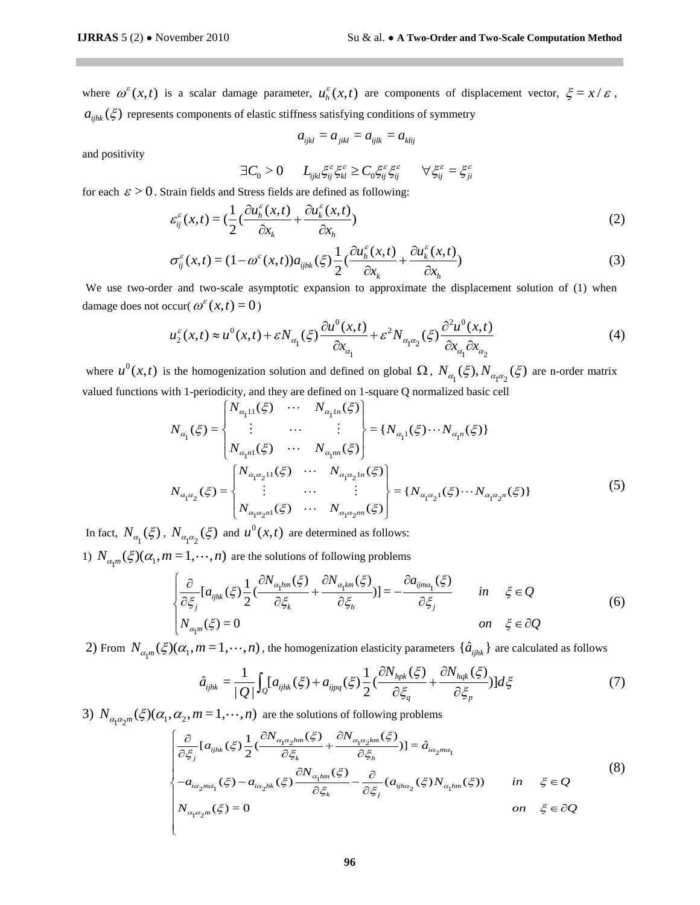where  $\omega^{\varepsilon}(x,t)$  is a scalar damage parameter,  $u_h^{\varepsilon}(x,t)$  are components of displacement vector,  $\xi = x/\varepsilon$ ,  $a_{ijhk}(\xi)$  represents components of elastic stiffness satisfying conditions of symmetry

$$
a_{ijkl} = a_{jikl} = a_{ijlk} = a_{klij}
$$

and positivity

$$
\exists C_0 > 0 \qquad L_{ijkl} \xi_{ij}^{\varepsilon} \xi_{kl}^{\varepsilon} \ge C_0 \xi_{ij}^{\varepsilon} \xi_{ij}^{\varepsilon} \qquad \forall \xi_{ij}^{\varepsilon} = \xi_{ji}^{\varepsilon}
$$

for each 
$$
\varepsilon > 0
$$
. Strain fields and Stress fields are defined as following:  
\n
$$
\varepsilon_{ij}^{\varepsilon}(x,t) = \left(\frac{1}{2}\left(\frac{\partial u_{h}^{\varepsilon}(x,t)}{\partial x_{k}} + \frac{\partial u_{k}^{\varepsilon}(x,t)}{\partial x_{h}}\right)\right)
$$
\n
$$
\sigma_{ii}^{\varepsilon}(x,t) = (1 - \omega^{\varepsilon}(x,t))a_{i\omega}(\xi)\frac{1}{2}\left(\frac{\partial u_{h}^{\varepsilon}(x,t)}{\partial x_{h}} + \frac{\partial u_{k}^{\varepsilon}(x,t)}{\partial x_{h}}\right)
$$
\n(3)

$$
\varepsilon_{ij}^{\varepsilon}(x,t) = \left(\frac{-(\frac{\partial}{\partial x_k} + \frac{\partial}{\partial x_k})}{\partial x_k}\right)
$$
\n
$$
\sigma_{ij}^{\varepsilon}(x,t) = (1 - \omega^{\varepsilon}(x,t))a_{ijhk}(\xi)\frac{1}{2}\left(\frac{\partial u_h^{\varepsilon}(x,t)}{\partial x_k} + \frac{\partial u_h^{\varepsilon}(x,t)}{\partial x_h}\right)
$$
\n(3)

We use two-order and two-scale asymptotic expansion to approximate the displacement solution of (1) when lamage does not occur(  $\omega^{\epsilon}(x,t) = 0$ )<br>  $u_2^{\epsilon}(x,t) \approx u^0(x,t) + \epsilon N_{\alpha_1}(\xi) \frac{\partial u^0(x,t)}{\partial x_{\alpha}} + \epsilon^2 N_{\alpha_1 \alpha_2}(\xi) \frac{\partial^2 u^$ damage does not occur( $\omega^{\varepsilon}(x,t) = 0$ )

$$
ccur(\omega^{\varepsilon}(x,t) = 0)
$$
  
\n
$$
u_2^{\varepsilon}(x,t) \approx u^0(x,t) + \varepsilon N_{\alpha_1}(\xi) \frac{\partial u^0(x,t)}{\partial x_{\alpha_1}} + \varepsilon^2 N_{\alpha_1 \alpha_2}(\xi) \frac{\partial^2 u^0(x,t)}{\partial x_{\alpha_1} \partial x_{\alpha_2}}
$$
\n(4)

where  $u^0(x,t)$  is the homogenization solution and defined on global  $\Omega$ ,  $N_{\alpha_1}(\xi)$ ,  $N_{\alpha_1\alpha_2}(\xi)$  are n-order matrix valued functions with 1-periodicity, and they are defined on 1-square Q normalized basic cell  $\begin$ 

valued functions with 1-periodicity, and they are defined on 1-square Q normalized basic cell  
\n
$$
N_{\alpha_1}(\xi) = \begin{cases} N_{\alpha_1 11}(\xi) & \cdots & N_{\alpha_1 1n}(\xi) \\ \vdots & \cdots & \vdots \\ N_{\alpha_1 n1}(\xi) & \cdots & N_{\alpha_1 m n}(\xi) \end{cases} = \{N_{\alpha_1 1}(\xi) \cdots N_{\alpha_1 n}(\xi)\}
$$
\n
$$
N_{\alpha_1 \alpha_2}(\xi) = \begin{cases} N_{\alpha_1 \alpha_2 11}(\xi) & \cdots & N_{\alpha_1 \alpha_2 1n}(\xi) \\ \vdots & \cdots & \vdots \\ N_{\alpha_1 \alpha_2 n1}(\xi) & \cdots & N_{\alpha_1 \alpha_2 n1}(\xi) \end{cases} = \{N_{\alpha_1 \alpha_2 1}(\xi) \cdots N_{\alpha_1 \alpha_2 n}(\xi)\}
$$
\n(5)

In fact,  $N_{\alpha_1}(\xi)$ ,  $N_{\alpha_1\alpha_2}(\xi)$  and  $u^0(x,t)$  are determined as follows:

1)  $N_{\alpha_1 m}(\xi)(\alpha_1, m=1,\dots,n)$  are the solutions of following problems

$$
P_{\alpha_1 \alpha_2}(s) \text{ and } u(x,t) \text{ are determined as follows.}
$$
  
\n
$$
E = 1, \dots, n \text{ are the solutions of following problems}
$$
  
\n
$$
\begin{cases}\n\frac{\partial}{\partial \xi_j} [a_{ijk}(\xi) \frac{1}{2} (\frac{\partial N_{\alpha_1 lm}(\xi)}{\partial \xi_k} + \frac{\partial N_{\alpha_1 km}(\xi)}{\partial \xi_h})] = -\frac{\partial a_{ijm\alpha_1}(\xi)}{\partial \xi_j} & \text{in } \xi \in Q \\
N_{\alpha_1 m}(\xi) = 0 & \text{on } \xi \in \partial Q\n\end{cases}
$$
\n(6)

2) From 
$$
N_{\alpha_1 m}(\xi)(\alpha_1, m = 1, \dots, n)
$$
, the homogenization elasticity parameters  $\{\hat{a}_{ijhk}\}\$  are calculated as follows  
\n
$$
\hat{a}_{ijhk} = \frac{1}{|Q|} \int_Q [a_{ijhk}(\xi) + a_{ijpq}(\xi) \frac{1}{2} (\frac{\partial N_{hpk}(\xi)}{\partial \xi_q} + \frac{\partial N_{hqk}(\xi)}{\partial \xi_p})] d\xi
$$
\n(7)  
\n3)  $N_{\alpha_1 \alpha_2 m}(\xi)(\alpha_1, \alpha_2, m = 1, \dots, n)$  are the solutions of following problems  
\n
$$
\frac{\partial}{\partial \xi} [a_{ijhk}(\xi) \frac{1}{2} (\frac{\partial N_{\alpha_1 \alpha_2 lmm}(\xi)}{\partial \xi_k} + \frac{\partial N_{\alpha_1 \alpha_2 km}(\xi)}{\partial \xi_p})] = \hat{a}_{i\alpha_2 m\alpha_2}
$$

3) 
$$
N_{\alpha_1 \alpha_2 m}(\xi)(\alpha_1, \alpha_2, m = 1, \dots, n)
$$
 are the solutions of following problems  
\n
$$
\begin{cases}\n\frac{\partial}{\partial \xi_j} [a_{ijhk}(\xi) \frac{1}{2} (\frac{\partial N_{\alpha_1 \alpha_2 lm}(\xi)}{\partial \xi_k} + \frac{\partial N_{\alpha_1 \alpha_2 km}(\xi)}{\partial \xi_h})] = \hat{a}_{i\alpha_2 ma_1} \\
\frac{\partial}{\partial \xi_j} [a_{ijhk}(\xi) \frac{1}{2} (\frac{\partial N_{\alpha_1 \alpha_2 lm}(\xi)}{\partial \xi_k} + \frac{\partial N_{\alpha_1 \alpha_2 km}(\xi)}{\partial \xi_h})] = \hat{a}_{i\alpha_2 ma_1} \\
-a_{i\alpha_2 ma_1}(\xi) - a_{i\alpha_2 hk}(\xi) \frac{\partial N_{\alpha_1 hm}(\xi)}{\partial \xi_k} - \frac{\partial}{\partial \xi_j} (a_{ijha_2}(\xi) N_{\alpha_1 hm}(\xi)) \n\end{cases}
$$
\nin  $\xi \in Q$   
\n
$$
N_{\alpha_1 \alpha_2 m}(\xi) = 0
$$
\n(8)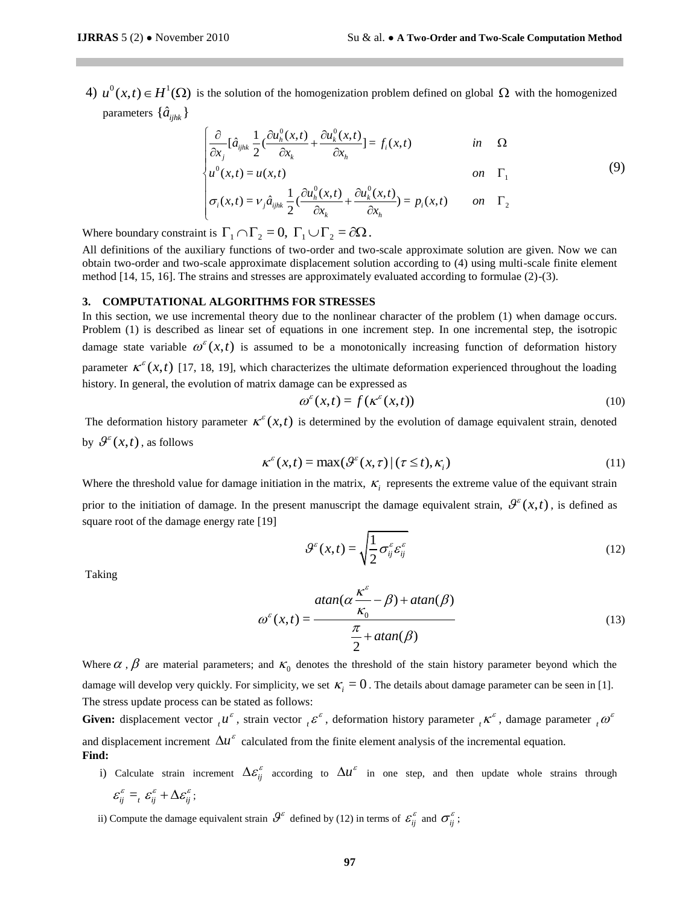4)  $u^0(x,t) \in H^1(\Omega)$  is the solution of the homogenization problem defined on global  $\Omega$  with the homogenized parameters  $\{\hat{a}_{ijkk}\}$ 

$$
\begin{cases}\n\frac{\partial}{\partial x_j} \left[ \hat{a}_{ijhk} \frac{1}{2} \left( \frac{\partial u_h^0(x,t)}{\partial x_k} + \frac{\partial u_k^0(x,t)}{\partial x_h} \right) \right] = f_i(x,t) & \text{in} \quad \Omega \\
u^0(x,t) = u(x,t) & \text{on} \quad \Gamma_1\n\end{cases}
$$
\n(9)

$$
\begin{cases}\n\alpha_j & \text{on} \quad \Gamma_1 \\
u^0(x,t) = u(x,t) & \text{on} \quad \Gamma_1 \\
\sigma_i(x,t) = V_j \hat{a}_{ijhk} \frac{1}{2} \left( \frac{\partial u_h^0(x,t)}{\partial x_k} + \frac{\partial u_k^0(x,t)}{\partial x_h} \right) = p_i(x,t) & \text{on} \quad \Gamma_2\n\end{cases}
$$

Where boundary constraint is  $\Gamma_1 \cap \Gamma_2 = 0$ ,  $\Gamma_1 \cup \Gamma_2 = \partial \Omega$ .

All definitions of the auxiliary functions of two-order and two-scale approximate solution are given. Now we can obtain two-order and two-scale approximate displacement solution according to (4) using multi-scale finite element method [14, 15, 16]. The strains and stresses are approximately evaluated according to formulae (2)-(3).

#### **3. COMPUTATIONAL ALGORITHMS FOR STRESSES**

In this section, we use incremental theory due to the nonlinear character of the problem (1) when damage occurs. Problem (1) is described as linear set of equations in one increment step. In one incremental step, the isotropic damage state variable  $\omega^{\varepsilon}(x,t)$  is assumed to be a monotonically increasing function of deformation history parameter  $\kappa^{\varepsilon}(x,t)$  [17, 18, 19], which characterizes the ultimate deformation experienced throughout the loading history. In general, the evolution of matrix damage can be expressed as

$$
\omega^{\varepsilon}(x,t) = f(\kappa^{\varepsilon}(x,t))
$$
\n(10)

The deformation history parameter  $\kappa^{\varepsilon}(x,t)$  is determined by the evolution of damage equivalent strain, denoted by  $\mathcal{G}^{\varepsilon}(x,t)$ , as follows

$$
\kappa^{\varepsilon}(x,t) = \max(\mathcal{G}^{\varepsilon}(x,\tau) | (\tau \leq t), \kappa_i)
$$
\n(11)

Where the threshold value for damage initiation in the matrix,  $\kappa$ <sub>i</sub> represents the extreme value of the equivant strain

prior to the initiation of damage. In the present manuscript the damage equivalent strain,  $\mathcal{G}^{\varepsilon}(x,t)$ , is defined as square root of the damage energy rate [19]

$$
\mathcal{G}^{\varepsilon}(x,t) = \sqrt{\frac{1}{2}\sigma_{ij}^{\varepsilon}\varepsilon_{ij}^{\varepsilon}}
$$
\n(12)

Taking

$$
\omega^{\varepsilon}(x,t) = \frac{\operatorname{atan}(\alpha \frac{\kappa^{\varepsilon}}{\kappa_0} - \beta) + \operatorname{atan}(\beta)}{\frac{\pi}{2} + \operatorname{atan}(\beta)}
$$
(13)

Where  $\alpha$ ,  $\beta$  are material parameters; and  $\kappa_0$  denotes the threshold of the stain history parameter beyond which the damage will develop very quickly. For simplicity, we set  $\kappa_i = 0$ . The details about damage parameter can be seen in [1]. The stress update process can be stated as follows:

**Given:** displacement vector  ${}_{t}u^{\epsilon}$ , strain vector  ${}_{t}\varepsilon^{\epsilon}$ , deformation history parameter  ${}_{t}\kappa^{\epsilon}$ , damage parameter  ${}_{t}\omega^{\epsilon}$ and displacement increment  $\Delta u^{\varepsilon}$  calculated from the finite element analysis of the incremental equation. **Find:**

- i) Calculate strain increment  $\Delta \varepsilon_{ij}^{\varepsilon}$  according to  $\Delta u^{\varepsilon}$  in one step, and then update whole strains through  $\varepsilon_{ij}^{\varepsilon} =_{t} \varepsilon_{ij}^{\varepsilon} + \Delta \varepsilon_{ij}^{\varepsilon}$ ;
- ii) Compute the damage equivalent strain  $\theta^{\varepsilon}$  defined by (12) in terms of  $\varepsilon_{ij}^{\varepsilon}$  and  $\sigma_{ij}^{\varepsilon}$ ;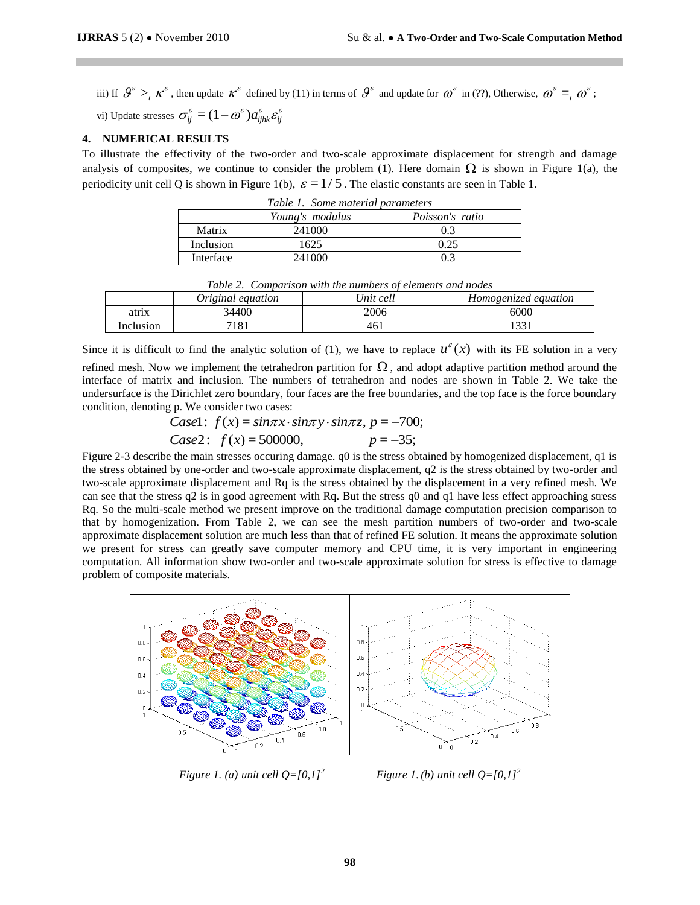iii) If  $\mathcal{G}^{\varepsilon} >_t \kappa^{\varepsilon}$ , then update  $\kappa^{\varepsilon}$  defined by (11) in terms of  $\mathcal{G}^{\varepsilon}$  and update for  $\omega^{\varepsilon}$  in (??), Otherwise,  $\omega^{\varepsilon} =_t \omega^{\varepsilon}$ ; vi) Update stresses  $\sigma_{ij}^{\varepsilon} = (1 - \omega^{\varepsilon}) a_{ijhk}^{\varepsilon} \varepsilon_{ij}^{\varepsilon}$ 

# **4. NUMERICAL RESULTS**

To illustrate the effectivity of the two-order and two-scale approximate displacement for strength and damage analysis of composites, we continue to consider the problem (1). Here domain  $\Omega$  is shown in Figure 1(a), the periodicity unit cell Q is shown in Figure 1(b),  $\varepsilon = 1/5$ . The elastic constants are seen in Table 1.

| Table 1. Some material parameters |                 |                        |  |  |  |
|-----------------------------------|-----------------|------------------------|--|--|--|
|                                   | Young's modulus | <i>Poisson's ratio</i> |  |  |  |
| Matrix                            | 241000          | 03                     |  |  |  |
| Inclusion                         | 1625            | 0.25                   |  |  |  |
| Interface                         | 241000          | በ 3                    |  |  |  |

|                                                            | Inclusion | 625    |  |  |  |  |
|------------------------------------------------------------|-----------|--------|--|--|--|--|
|                                                            | Interface | 241000 |  |  |  |  |
|                                                            |           |        |  |  |  |  |
| Table 2. Comparison with the numbers of elements and nodes |           |        |  |  |  |  |

| ---------<br>------------------------ |                   |            |                      |  |  |  |
|---------------------------------------|-------------------|------------|----------------------|--|--|--|
|                                       | Original equation | 'Jnit cell | Homogenized equation |  |  |  |
| atrıx                                 | 34400             | 2006       | 6000                 |  |  |  |
| Inclusion                             | 0۶ ،<br>101       | 461        | $\sim$ $\sim$ $\sim$ |  |  |  |

Since it is difficult to find the analytic solution of (1), we have to replace  $u^{\varepsilon}(x)$  with its FE solution in a very

refined mesh. Now we implement the tetrahedron partition for  $\Omega$ , and adopt adaptive partition method around the interface of matrix and inclusion. The numbers of tetrahedron and nodes are shown in Table 2. We take the undersurface is the Dirichlet zero boundary, four faces are the free boundaries, and the top face is the force boundary condition, denoting p. We consider two cases:<br> *Case I*:  $f(x) = sin\pi x \cdot sin\pi y \cdot sin\pi z$ ,  $p = -700$ ;<br> *Case 2*: condition, denoting p. We consider two cases:

Case1: 
$$
f(x) = sin\pi x \cdot sin\pi y \cdot sin\pi z
$$
,  $p = -700$ ;  
Case2:  $f(x) = 500000$ ,  $p = -35$ ;

Figure 2-3 describe the main stresses occuring damage. q0 is the stress obtained by homogenized displacement, q1 is the stress obtained by one-order and two-scale approximate displacement, q2 is the stress obtained by two-order and two-scale approximate displacement and Rq is the stress obtained by the displacement in a very refined mesh. We can see that the stress q2 is in good agreement with Rq. But the stress q0 and q1 have less effect approaching stress Rq. So the multi-scale method we present improve on the traditional damage computation precision comparison to that by homogenization. From Table 2, we can see the mesh partition numbers of two-order and two-scale approximate displacement solution are much less than that of refined FE solution. It means the approximate solution we present for stress can greatly save computer memory and CPU time, it is very important in engineering computation. All information show two-order and two-scale approximate solution for stress is effective to damage problem of composite materials.



*Figure 1. (a) unit cell*  $Q = [0,1]^2$  *Figure 1.(b) unit cell*  $Q = [0,1]^2$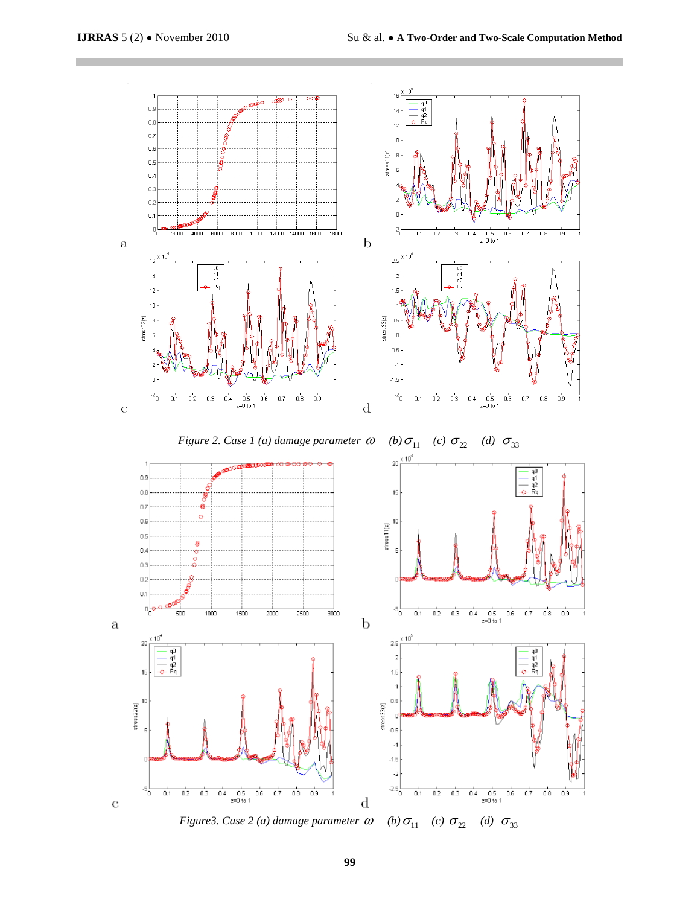



*Figure3. Case 2 (a) damage parameter*  $\omega$  *(b)*  $\sigma$ <sub>11</sub> (c)  $\sigma$ <sub>22</sub> (d)  $\sigma$ <sub>33</sub>